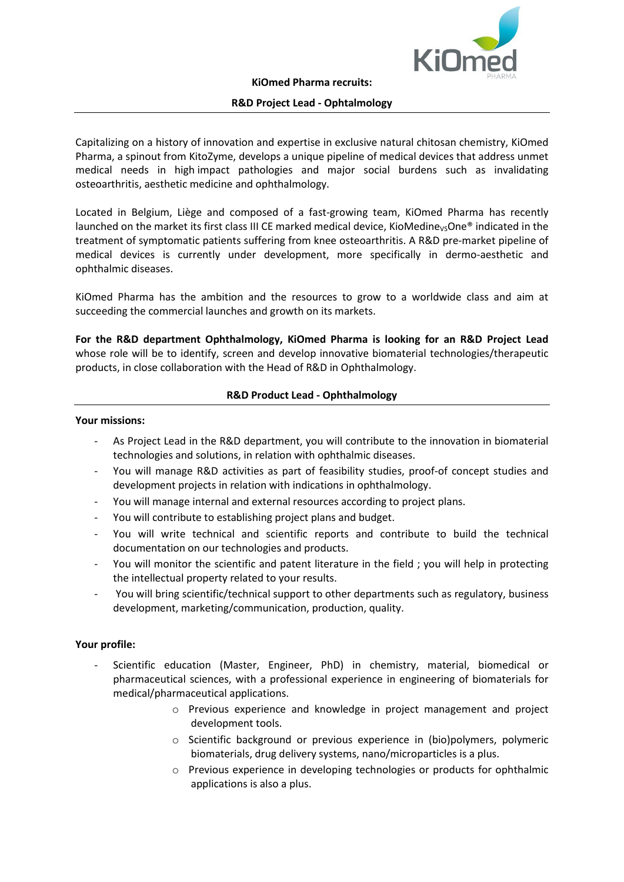

## **R&D Project Lead - Ophtalmology**

Capitalizing on a history of innovation and expertise in exclusive natural chitosan chemistry, KiOmed Pharma, a spinout from KitoZyme, develops a unique pipeline of medical devices that address unmet medical needs in high impact pathologies and major social burdens such as invalidating osteoarthritis, aesthetic medicine and ophthalmology.

Located in Belgium, Liège and composed of a fast-growing team, KiOmed Pharma has recently launched on the market its first class III CE marked medical device. KioMedine<sub>Vs</sub>One<sup>®</sup> indicated in the treatment of symptomatic patients suffering from knee osteoarthritis. A R&D pre-market pipeline of medical devices is currently under development, more specifically in dermo-aesthetic and ophthalmic diseases.

KiOmed Pharma has the ambition and the resources to grow to a worldwide class and aim at succeeding the commercial launches and growth on its markets.

**For the R&D department Ophthalmology, KiOmed Pharma is looking for an R&D Project Lead** whose role will be to identify, screen and develop innovative biomaterial technologies/therapeutic products, in close collaboration with the Head of R&D in Ophthalmology.

# **R&D Product Lead - Ophthalmology**

### **Your missions:**

- As Project Lead in the R&D department, you will contribute to the innovation in biomaterial technologies and solutions, in relation with ophthalmic diseases.
- You will manage R&D activities as part of feasibility studies, proof-of concept studies and development projects in relation with indications in ophthalmology.
- You will manage internal and external resources according to project plans.
- You will contribute to establishing project plans and budget.
- You will write technical and scientific reports and contribute to build the technical documentation on our technologies and products.
- You will monitor the scientific and patent literature in the field ; you will help in protecting the intellectual property related to your results.
- You will bring scientific/technical support to other departments such as regulatory, business development, marketing/communication, production, quality.

## **Your profile:**

- Scientific education (Master, Engineer, PhD) in chemistry, material, biomedical or pharmaceutical sciences, with a professional experience in engineering of biomaterials for medical/pharmaceutical applications.
	- o Previous experience and knowledge in project management and project development tools.
	- o Scientific background or previous experience in (bio)polymers, polymeric biomaterials, drug delivery systems, nano/microparticles is a plus.
	- o Previous experience in developing technologies or products for ophthalmic applications is also a plus.